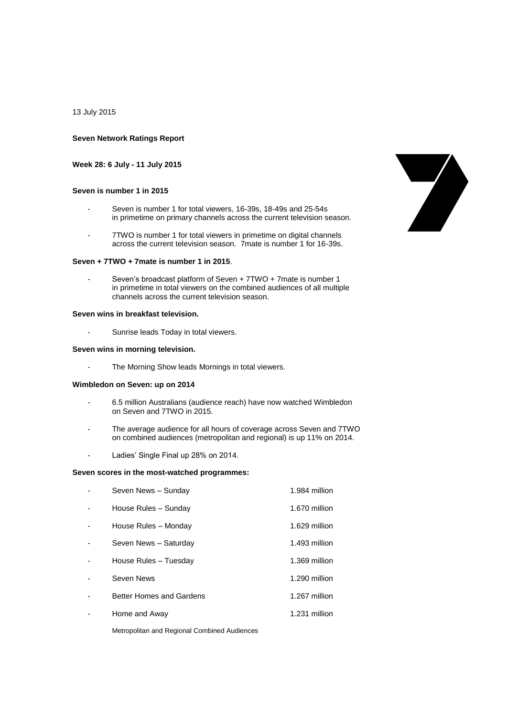13 July 2015

#### **Seven Network Ratings Report**

## **Week 28: 6 July - 11 July 2015**

### **Seven is number 1 in 2015**

- Seven is number 1 for total viewers, 16-39s, 18-49s and 25-54s in primetime on primary channels across the current television season.
- 7TWO is number 1 for total viewers in primetime on digital channels across the current television season. 7mate is number 1 for 16-39s.

# **Seven + 7TWO + 7mate is number 1 in 2015**.

Seven's broadcast platform of Seven + 7TWO + 7mate is number 1 in primetime in total viewers on the combined audiences of all multiple channels across the current television season.

# **Seven wins in breakfast television.**

- Sunrise leads Today in total viewers.

# **Seven wins in morning television.**

The Morning Show leads Mornings in total viewers.

### **Wimbledon on Seven: up on 2014**

- 6.5 million Australians (audience reach) have now watched Wimbledon on Seven and 7TWO in 2015.
- The average audience for all hours of coverage across Seven and 7TWO on combined audiences (metropolitan and regional) is up 11% on 2014.
- Ladies' Single Final up 28% on 2014.

### **Seven scores in the most-watched programmes:**

| Seven News - Sunday      | 1.984 million |
|--------------------------|---------------|
| House Rules - Sunday     | 1.670 million |
| House Rules - Monday     | 1.629 million |
| Seven News - Saturday    | 1.493 million |
| House Rules - Tuesday    | 1.369 million |
| Seven News               | 1.290 million |
| Better Homes and Gardens | 1.267 million |
| Home and Away            | 1.231 million |

Metropolitan and Regional Combined Audiences

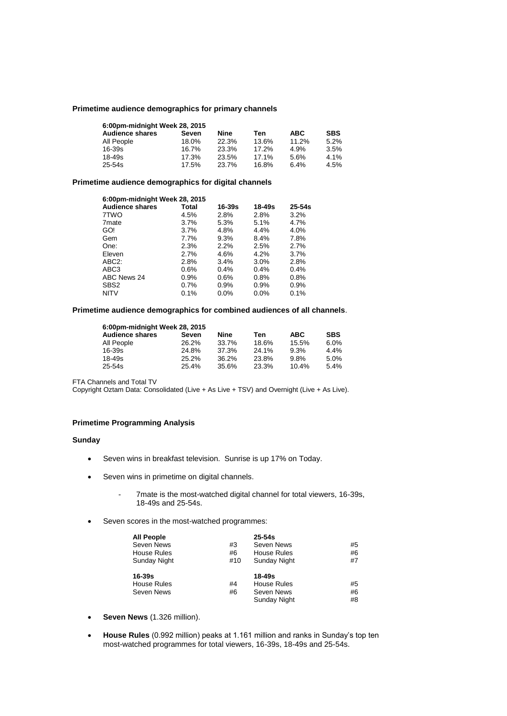### **Primetime audience demographics for primary channels**

| 6:00pm-midnight Week 28, 2015 |       |       |       |            |            |
|-------------------------------|-------|-------|-------|------------|------------|
| <b>Audience shares</b>        | Seven | Nine  | Ten   | <b>ABC</b> | <b>SBS</b> |
| All People                    | 18.0% | 22.3% | 13.6% | 11.2%      | 5.2%       |
| 16-39s                        | 16.7% | 23.3% | 17.2% | 4.9%       | 3.5%       |
| 18-49s                        | 17.3% | 23.5% | 17.1% | 5.6%       | 4.1%       |
| 25-54s                        | 17.5% | 23.7% | 16.8% | 6.4%       | 4.5%       |

# **Primetime audience demographics for digital channels**

| 6:00pm-midnight Week 28, 2015 |       |         |            |            |
|-------------------------------|-------|---------|------------|------------|
| <b>Audience shares</b>        | Total | 16-39s  | $18 - 49s$ | $25 - 54s$ |
| 7TWO                          | 4.5%  | 2.8%    | 2.8%       | 3.2%       |
| 7 <sub>mate</sub>             | 3.7%  | 5.3%    | 5.1%       | 4.7%       |
| GO!                           | 3.7%  | 4.8%    | $4.4\%$    | 4.0%       |
| Gem                           | 7.7%  | 9.3%    | $8.4\%$    | 7.8%       |
| One:                          | 2.3%  | 2.2%    | 2.5%       | 2.7%       |
| Eleven                        | 2.7%  | 4.6%    | 4.2%       | 3.7%       |
| ABC <sub>2</sub> :            | 2.8%  | 3.4%    | $3.0\%$    | 2.8%       |
| ABC3                          | 0.6%  | 0.4%    | 0.4%       | 0.4%       |
| ABC News 24                   | 0.9%  | 0.6%    | 0.8%       | 0.8%       |
| SBS <sub>2</sub>              | 0.7%  | 0.9%    | $0.9\%$    | 0.9%       |
| <b>NITV</b>                   | 0.1%  | $0.0\%$ | 0.0%       | 0.1%       |

#### **Primetime audience demographics for combined audiences of all channels**.

| 6:00pm-midnight Week 28, 2015 |       |       |       |            |            |
|-------------------------------|-------|-------|-------|------------|------------|
| <b>Audience shares</b>        | Seven | Nine  | Ten   | <b>ABC</b> | <b>SBS</b> |
| All People                    | 26.2% | 33.7% | 18.6% | 15.5%      | 6.0%       |
| 16-39s                        | 24.8% | 37.3% | 24.1% | 9.3%       | 4.4%       |
| 18-49s                        | 25.2% | 36.2% | 23.8% | 9.8%       | 5.0%       |
| 25-54s                        | 25.4% | 35.6% | 23.3% | 10.4%      | 5.4%       |

FTA Channels and Total TV

Copyright Oztam Data: Consolidated (Live + As Live + TSV) and Overnight (Live + As Live).

# **Primetime Programming Analysis**

### **Sunday**

- Seven wins in breakfast television. Sunrise is up 17% on Today.
- Seven wins in primetime on digital channels.
	- 7mate is the most-watched digital channel for total viewers, 16-39s, 18-49s and 25-54s.
- Seven scores in the most-watched programmes:

| <b>All People</b>  |     | $25-54s$     |    |
|--------------------|-----|--------------|----|
| Seven News         | #3  | Seven News   | #5 |
| <b>House Rules</b> | #6  | House Rules  | #6 |
| Sunday Night       | #10 | Sunday Night | #7 |
| $16 - 39s$         |     | 18-49s       |    |
| <b>House Rules</b> | #4  | House Rules  | #5 |
|                    |     |              |    |
| Seven News         | #6  | Seven News   | #6 |

- **Seven News** (1.326 million).
- **House Rules** (0.992 million) peaks at 1.161 million and ranks in Sunday's top ten most-watched programmes for total viewers, 16-39s, 18-49s and 25-54s.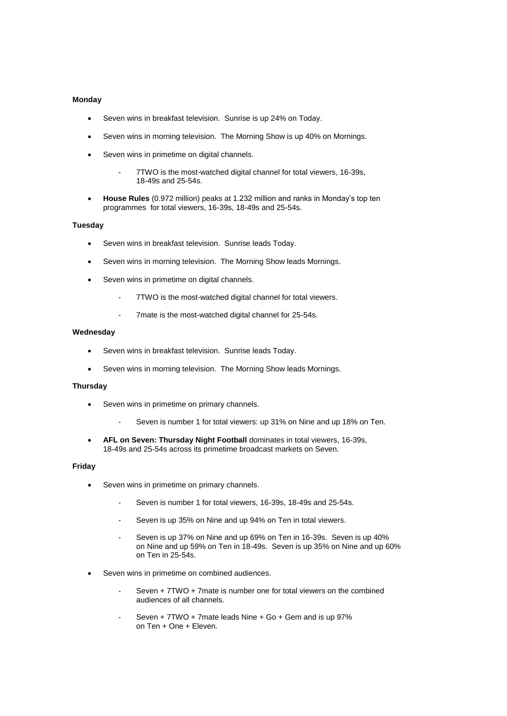# **Monday**

- Seven wins in breakfast television. Sunrise is up 24% on Today.
- Seven wins in morning television. The Morning Show is up 40% on Mornings.
- Seven wins in primetime on digital channels.
	- 7TWO is the most-watched digital channel for total viewers, 16-39s, 18-49s and 25-54s.
- **House Rules** (0.972 million) peaks at 1.232 million and ranks in Monday's top ten programmes for total viewers, 16-39s, 18-49s and 25-54s.

#### **Tuesday**

- Seven wins in breakfast television. Sunrise leads Today.
- Seven wins in morning television. The Morning Show leads Mornings.
- Seven wins in primetime on digital channels.
	- 7TWO is the most-watched digital channel for total viewers.
	- 7mate is the most-watched digital channel for 25-54s.

# **Wednesday**

- Seven wins in breakfast television. Sunrise leads Today.
- Seven wins in morning television. The Morning Show leads Mornings.

# **Thursday**

- Seven wins in primetime on primary channels.
	- Seven is number 1 for total viewers: up 31% on Nine and up 18% on Ten.
- **AFL on Seven: Thursday Night Football** dominates in total viewers, 16-39s, 18-49s and 25-54s across its primetime broadcast markets on Seven.

## **Friday**

- Seven wins in primetime on primary channels.
	- Seven is number 1 for total viewers, 16-39s, 18-49s and 25-54s.
	- Seven is up 35% on Nine and up 94% on Ten in total viewers.
	- Seven is up 37% on Nine and up 69% on Ten in 16-39s. Seven is up 40% on Nine and up 59% on Ten in 18-49s. Seven is up 35% on Nine and up 60% on Ten in 25-54s.
- Seven wins in primetime on combined audiences.
	- Seven + 7TWO + 7mate is number one for total viewers on the combined audiences of all channels.
	- Seven + 7TWO + 7mate leads Nine + Go + Gem and is up 97% on Ten + One + Eleven.